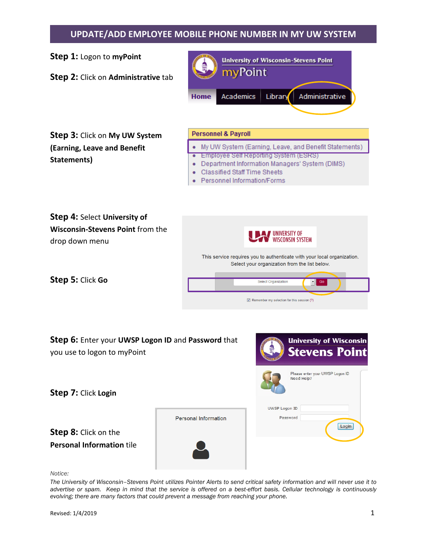## **UPDATE/ADD EMPLOYEE MOBILE PHONE NUMBER IN MY UW SYSTEM**

**University of Wisconsin-Stevens Point** 



*Notice:*

*The University of Wisconsin–Stevens Point utilizes Pointer Alerts to send critical safety information and will never use it to advertise or spam. Keep in mind that the service is offered on a best-effort basis. Cellular technology is continuously evolving; there are many factors that could prevent a message from reaching your phone.*

**Step 1:** Logon to **myPoint**